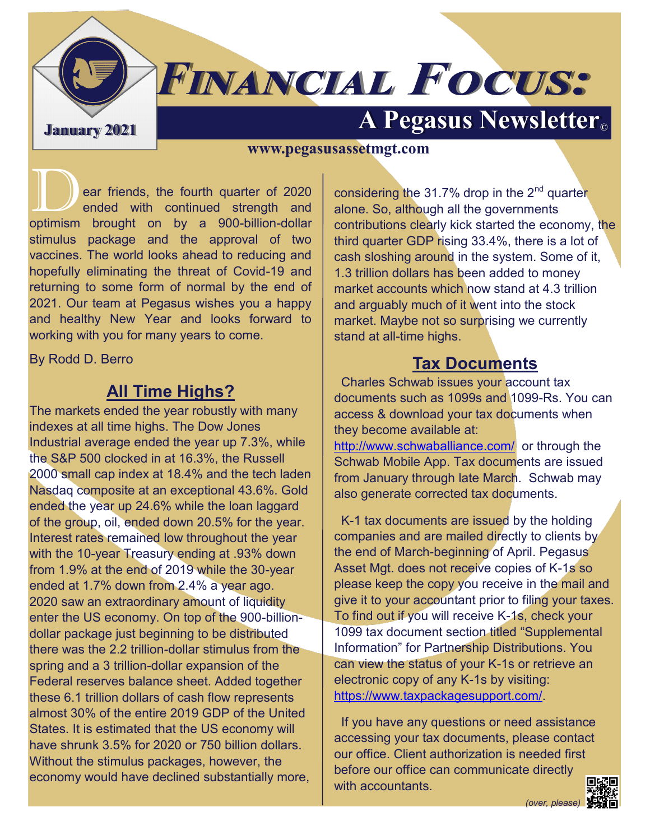**A Pegasus Newsletter C** 

# **FINANCIAL FOCUS:**

#### **www.pegasusassetmgt.com**

ear friends, the fourth quarter of 2020<br>ended with continued strength and<br>entimiem brought on by a 900 billion dollar ended with continued strength and optimism brought on by a 900-billion-dollar stimulus package and the approval of two vaccines. The world looks ahead to reducing and hopefully eliminating the threat of Covid-19 and returning to some form of normal by the end of 2021. Our team at Pegasus wishes you a happy and healthy New Year and looks forward to working with you for many years to come.

By Rodd D. Berro

## **All Time Highs?**

The markets ended the year robustly with many indexes at all time highs. The Dow Jones Industrial average ended the year up 7.3%, while the S&P 500 clocked in at 16.3%, the Russell 2000 small cap index at 18.4% and the tech laden Nasdaq composite at an exceptional 43.6%. Gold ended the year up 24.6% while the loan laggard of the group, oil, ended down 20.5% for the year. Interest rates remained low throughout the year with the 10-year Treasury ending at .93% down from 1.9% at the end of 2019 while the 30-year ended at 1.7% down from 2.4% a year ago. 2020 saw an extraordinary amount of liquidity enter the US economy. On top of the 900-billiondollar package just beginning to be distributed there was the 2.2 trillion-dollar stimulus from the spring and a 3 trillion-dollar expansion of the Federal reserves balance sheet. Added together these 6.1 trillion dollars of cash flow represents almost 30% of the entire 2019 GDP of the United States. It is estimated that the US economy will have shrunk 3.5% for 2020 or 750 billion dollars. Without the stimulus packages, however, the economy would have declined substantially more, considering the  $31.7\%$  drop in the  $2<sup>nd</sup>$  quarter alone. So, although all the governments contributions clearly kick started the economy, the third quarter GDP rising 33.4%, there is a lot of cash sloshing around in the system. Some of it, 1.3 trillion dollars has been added to money market accounts which now stand at 4.3 trillion and arguably much of it went into the stock market. Maybe not so surprising we currently stand at all-time highs.

## **Tax Documents**

 Charles Schwab issues your account tax documents such as 1099s and 1099-Rs. You can access & download your tax documents when they become available at:

<http://www.schwaballiance.com/>or through the Schwab Mobile App. Tax documents are issued from January through late March. Schwab may also generate corrected tax documents.

 K-1 tax documents are issued by the holding companies and are mailed directly to clients by the end of March-beginning of April. Pegasus Asset Mgt. does not receive copies of K-1s so please keep the copy you receive in the mail and give it to your accountant prior to filing your taxes. To find out if you will receive K-1s, check your 1099 tax document section titled "Supplemental Information" for Partnership Distributions. You can view the status of your K-1s or retrieve an electronic copy of any K-1s by visiting: [https://www.taxpackagesupport.com/.](https://www.taxpackagesupport.com/)

 If you have any questions or need assistance accessing your tax documents, please contact our office. Client authorization is needed first before our office can communicate directly with accountants.